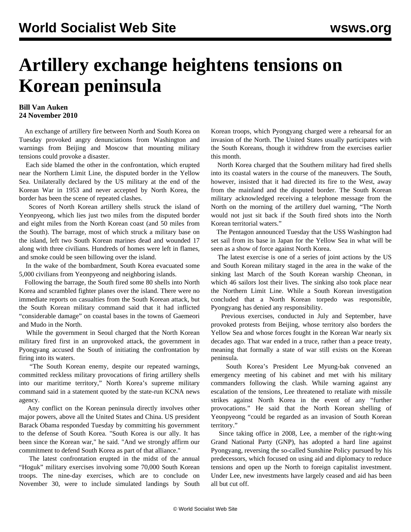## **Artillery exchange heightens tensions on Korean peninsula**

## **Bill Van Auken 24 November 2010**

 An exchange of artillery fire between North and South Korea on Tuesday provoked angry denunciations from Washington and warnings from Beijing and Moscow that mounting military tensions could provoke a disaster.

 Each side blamed the other in the confrontation, which erupted near the Northern Limit Line, the disputed border in the Yellow Sea. Unilaterally declared by the US military at the end of the Korean War in 1953 and never accepted by North Korea, the border has been the scene of repeated clashes.

 Scores of North Korean artillery shells struck the island of Yeonpyeong, which lies just two miles from the disputed border and eight miles from the North Korean coast (and 50 miles from the South). The barrage, most of which struck a military base on the island, left two South Korean marines dead and wounded 17 along with three civilians. Hundreds of homes were left in flames, and smoke could be seen billowing over the island.

 In the wake of the bombardment, South Korea evacuated some 5,000 civilians from Yeonpyeong and neighboring islands.

 Following the barrage, the South fired some 80 shells into North Korea and scrambled fighter planes over the island. There were no immediate reports on casualties from the South Korean attack, but the South Korean military command said that it had inflicted "considerable damage" on coastal bases in the towns of Gaemeori and Mudo in the North.

 While the government in Seoul charged that the North Korean military fired first in an unprovoked attack, the government in Pyongyang accused the South of initiating the confrontation by firing into its waters.

 "The South Korean enemy, despite our repeated warnings, committed reckless military provocations of firing artillery shells into our maritime territory," North Korea's supreme military command said in a statement quoted by the state-run KCNA news agency.

 Any conflict on the Korean peninsula directly involves other major powers, above all the United States and China. US president Barack Obama responded Tuesday by committing his government to the defense of South Korea. "South Korea is our ally. It has been since the Korean war," he said. "And we strongly affirm our commitment to defend South Korea as part of that alliance."

 The latest confrontation erupted in the midst of the annual "Hoguk" military exercises involving some 70,000 South Korean troops. The nine-day exercises, which are to conclude on November 30, were to include simulated landings by South Korean troops, which Pyongyang charged were a rehearsal for an invasion of the North. The United States usually participates with the South Koreans, though it withdrew from the exercises earlier this month.

 North Korea charged that the Southern military had fired shells into its coastal waters in the course of the maneuvers. The South, however, insisted that it had directed its fire to the West, away from the mainland and the disputed border. The South Korean military acknowledged receiving a telephone message from the North on the morning of the artillery duel warning, "The North would not just sit back if the South fired shots into the North Korean territorial waters."

 The Pentagon announced Tuesday that the USS Washington had set sail from its base in Japan for the Yellow Sea in what will be seen as a show of force against North Korea.

 The latest exercise is one of a series of joint actions by the US and South Korean military staged in the area in the wake of the sinking last March of the South Korean warship Cheonan, in which 46 sailors lost their lives. The sinking also took place near the Northern Limit Line. While a South Korean investigation concluded that a North Korean torpedo was responsible, Pyongyang has denied any responsibility.

 Previous exercises, conducted in July and September, have provoked protests from Beijing, whose territory also borders the Yellow Sea and whose forces fought in the Korean War nearly six decades ago. That war ended in a truce, rather than a peace treaty, meaning that formally a state of war still exists on the Korean peninsula.

 South Korea's President Lee Myung-bak convened an emergency meeting of his cabinet and met with his military commanders following the clash. While warning against any escalation of the tensions, Lee threatened to retaliate with missile strikes against North Korea in the event of any "further provocations." He said that the North Korean shelling of Yeonpyeong "could be regarded as an invasion of South Korean territory."

 Since taking office in 2008, Lee, a member of the right-wing Grand National Party (GNP), has adopted a hard line against Pyongyang, reversing the so-called Sunshine Policy pursued by his predecessors, which focused on using aid and diplomacy to reduce tensions and open up the North to foreign capitalist investment. Under Lee, new investments have largely ceased and aid has been all but cut off.